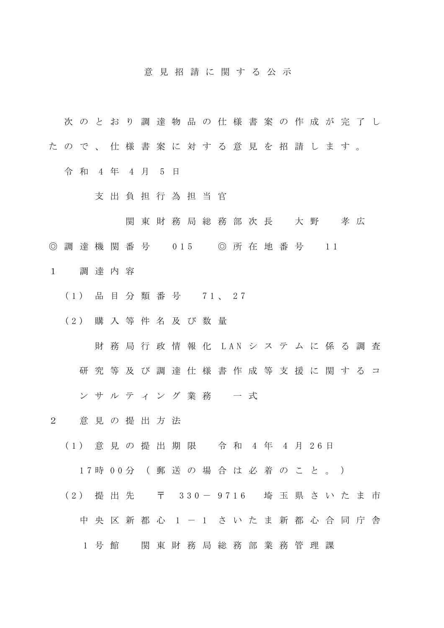## 意 見 招 請 に 関 す る 公 示

- 次 の と お り 調 達 物 品 の 仕 様 書 案 の 作 成 が 完 了 し
- た の で 、 仕 様 書 案 に 対 す る 意 見 を 招 請 し ま す 。
	- 令 和 4 年 4 月 5 日
		- 支 出 負 担 行 為 担 当 官
			- 関 東 財 務 局 総 務 部 次 長 大 野 孝 広
- ◎ 調 達 機 関 番 号 0 15 ◎ 所 在 地 番 号 1 1
- 1 調 達 内 容
	- ( 1 ) 品 目 分 類 番 号 7 1 、 2 7
	- ( 2 ) 購 入 等 件 名 及 び 数 量
		- 財 務 局 行 政 情 報 化 LAN シ ス テ ム に 係 る 調 査
		- 研究 等 及 び 調 達 仕 様 書 作 成 等 支 援 に 関 す る コ
		- ン サ ル テ ィ ン グ 業 務 一 式
- 2 意 見 の 提 出 方 法
	- ( 1 ) 意 見 の 提 出 期 限 令 和 4 年 4 月 2 6 日

1 7 時 0 0 分 ( 郵 送 の 場 合 は 必 着 の こ と 。 )

- (2) 提 出 先 〒 330-9716 埼 玉 県 さ い た ま 市
	- 中 央 区 新 都 心 1 1 さ い た ま 新 都 心 合 同 庁 舎
		- 1 号館 関東財務局総務部業務管理課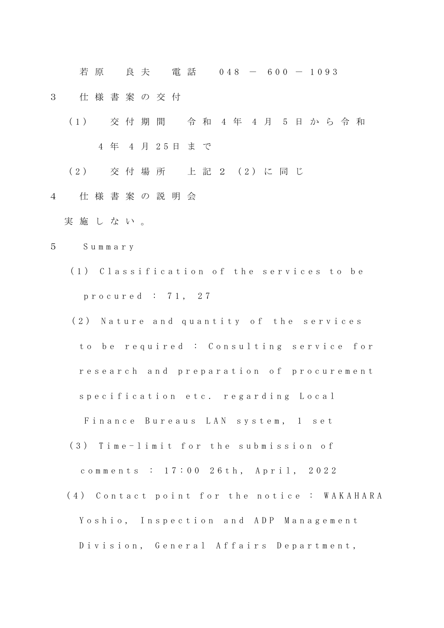若 原 真 夫 雷 話 0 4 8 - 6 0 0 - 1 0 9 3

- 3 仕 様 書 案 の 交 付
	- ( 1 ) 交 付 期 間 令 和 4 年 4 月 5 日 か ら 令 和 4 年 4 月 2 5 日 ま で
	- ( 2 ) 交 付 場 所 上 記 2 ( 2 ) に 同 じ
- 4 仕 様 書 案 の 説 明 会
	- 実 施 し な い 。
- 5 S u m m a r y
	- (1) Classification of the services to be p r o c u r e d : 7 1 , 2 7
	- (2) Nature and quantity of the services to be required : Consulting service for research and preparation of procurement specification etc. regarding Local
		- Finance Bureaus LAN system, 1 set
	- (3) Time-limit for the submission of

comments : 17:00 26th, April, 2022

(4) Contact point for the notice : WAKAHARA Yoshio, Inspection and ADP Management Division, General Affairs Department,